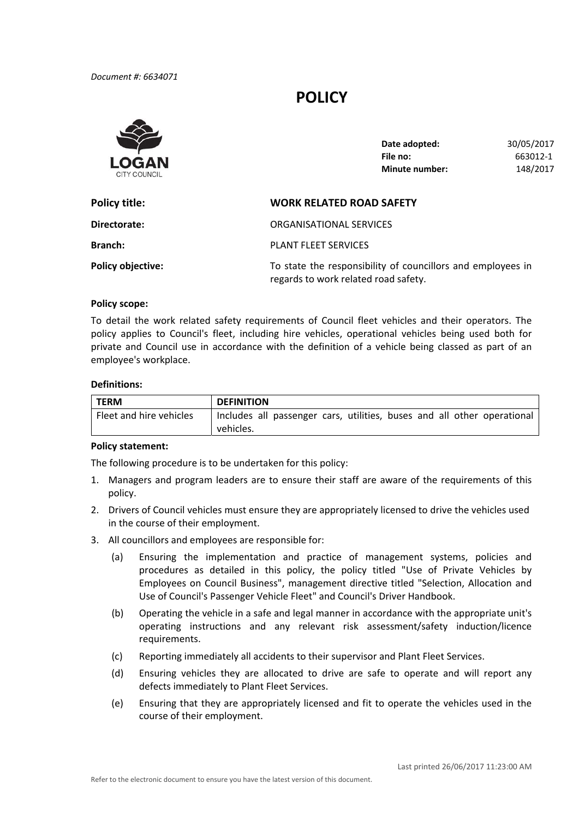# **POLICY**



| Date adopted:         | 30/05/2017 |
|-----------------------|------------|
| File no:              | 663012-1   |
| <b>Minute number:</b> | 148/2017   |

| Policy title:            | <b>WORK RELATED ROAD SAFETY</b>                                                                     |
|--------------------------|-----------------------------------------------------------------------------------------------------|
| Directorate:             | ORGANISATIONAL SERVICES                                                                             |
| <b>Branch:</b>           | <b>PLANT FLEET SERVICES</b>                                                                         |
| <b>Policy objective:</b> | To state the responsibility of councillors and employees in<br>regards to work related road safety. |

### **Policy scope:**

 To detail the work related safety requirements of Council fleet vehicles and their operators. The policy applies to Council's fleet, including hire vehicles, operational vehicles being used both for private and Council use in accordance with the definition of a vehicle being classed as part of an employee's workplace.

#### **Definitions:**

| <b>TERM</b>             | <b>DEFINITION</b>                                                       |  |  |
|-------------------------|-------------------------------------------------------------------------|--|--|
| Fleet and hire vehicles | Includes all passenger cars, utilities, buses and all other operational |  |  |
|                         | vehicles.                                                               |  |  |

## **Policy statement:**

The following procedure is to be undertaken for this policy:

- 1. Managers and program leaders are to ensure their staff are aware of the requirements of this policy.
- 2. Drivers of Council vehicles must ensure they are appropriately licensed to drive the vehicles used in the course of their employment.
- 3. All councillors and employees are responsible for:
	- (a) Ensuring the implementation and practice of management systems, policies and procedures as detailed in this policy, the policy titled "Use of Private Vehicles by Employees on Council Business", management directive titled "Selection, Allocation and Use of Council's Passenger Vehicle Fleet" and Council's Driver Handbook.
	- (b) Operating the vehicle in a safe and legal manner in accordance with the appropriate unit's operating instructions and any relevant risk assessment/safety induction/licence requirements.
	- (c) Reporting immediately all accidents to their supervisor and Plant Fleet Services.
	- (d) Ensuring vehicles they are allocated to drive are safe to operate and will report any defects immediately to Plant Fleet Services.
	- (e) Ensuring that they are appropriately licensed and fit to operate the vehicles used in the course of their employment.